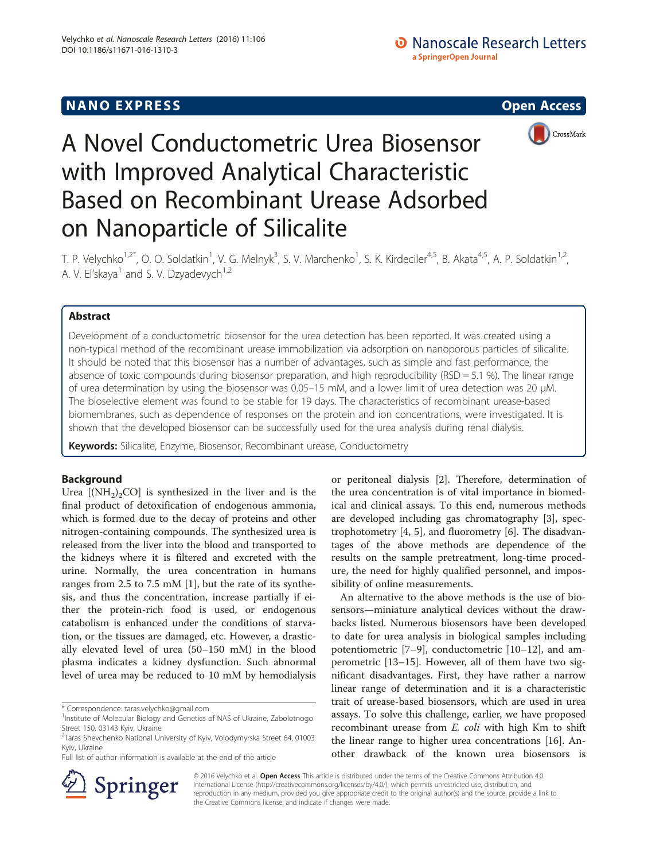# **NANO EXPRESS** Open Access **CONTROL**



# A Novel Conductometric Urea Biosensor with Improved Analytical Characteristic Based on Recombinant Urease Adsorbed on Nanoparticle of Silicalite

T. P. Velychko<sup>1,2\*</sup>, O. O. Soldatkin<sup>1</sup>, V. G. Melnyk<sup>3</sup>, S. V. Marchenko<sup>1</sup>, S. K. Kirdeciler<sup>4,5</sup>, B. Akata<sup>4,5</sup>, A. P. Soldatkin<sup>1,2</sup>, A. V. El'skaya<sup>1</sup> and S. V. Dzyadevych<sup>1,2</sup>

# Abstract

Development of a conductometric biosensor for the urea detection has been reported. It was created using a non-typical method of the recombinant urease immobilization via adsorption on nanoporous particles of silicalite. It should be noted that this biosensor has a number of advantages, such as simple and fast performance, the absence of toxic compounds during biosensor preparation, and high reproducibility (RSD = 5.1 %). The linear range of urea determination by using the biosensor was 0.05–15 mM, and a lower limit of urea detection was 20 μM. The bioselective element was found to be stable for 19 days. The characteristics of recombinant urease-based biomembranes, such as dependence of responses on the protein and ion concentrations, were investigated. It is shown that the developed biosensor can be successfully used for the urea analysis during renal dialysis.

Keywords: Silicalite, Enzyme, Biosensor, Recombinant urease, Conductometry

# Background

Urea  $[NH_2)_2CO$ ] is synthesized in the liver and is the final product of detoxification of endogenous ammonia, which is formed due to the decay of proteins and other nitrogen-containing compounds. The synthesized urea is released from the liver into the blood and transported to the kidneys where it is filtered and excreted with the urine. Normally, the urea concentration in humans ranges from 2.5 to 7.5 mM [\[1\]](#page-5-0), but the rate of its synthesis, and thus the concentration, increase partially if either the protein-rich food is used, or endogenous catabolism is enhanced under the conditions of starvation, or the tissues are damaged, etc. However, a drastically elevated level of urea (50–150 mM) in the blood plasma indicates a kidney dysfunction. Such abnormal level of urea may be reduced to 10 mM by hemodialysis

\* Correspondence: [taras.velychko@gmail.com](mailto:taras.velychko@gmail.com) <sup>1</sup>

Full list of author information is available at the end of the article

or peritoneal dialysis [[2](#page-5-0)]. Therefore, determination of the urea concentration is of vital importance in biomedical and clinical assays. To this end, numerous methods are developed including gas chromatography [\[3](#page-5-0)], spectrophotometry [[4, 5\]](#page-5-0), and fluorometry [[6\]](#page-5-0). The disadvantages of the above methods are dependence of the results on the sample pretreatment, long-time procedure, the need for highly qualified personnel, and impossibility of online measurements.

An alternative to the above methods is the use of biosensors—miniature analytical devices without the drawbacks listed. Numerous biosensors have been developed to date for urea analysis in biological samples including potentiometric [\[7](#page-5-0)–[9](#page-5-0)], conductometric [[10](#page-5-0)–[12](#page-5-0)], and amperometric [\[13](#page-5-0)–[15\]](#page-5-0). However, all of them have two significant disadvantages. First, they have rather a narrow linear range of determination and it is a characteristic trait of urease-based biosensors, which are used in urea assays. To solve this challenge, earlier, we have proposed recombinant urease from *E. coli* with high Km to shift the linear range to higher urea concentrations [[16\]](#page-5-0). Another drawback of the known urea biosensors is



© 2016 Velychko et al. Open Access This article is distributed under the terms of the Creative Commons Attribution 4.0 International License ([http://creativecommons.org/licenses/by/4.0/\)](http://creativecommons.org/licenses/by/4.0/), which permits unrestricted use, distribution, and reproduction in any medium, provided you give appropriate credit to the original author(s) and the source, provide a link to the Creative Commons license, and indicate if changes were made.

<sup>&</sup>lt;sup>1</sup> Institute of Molecular Biology and Genetics of NAS of Ukraine, Zabolotnogo Street 150, 03143 Kyiv, Ukraine

<sup>2</sup> Taras Shevchenko National University of Kyiv, Volodymyrska Street 64, 01003 Kyiv, Ukraine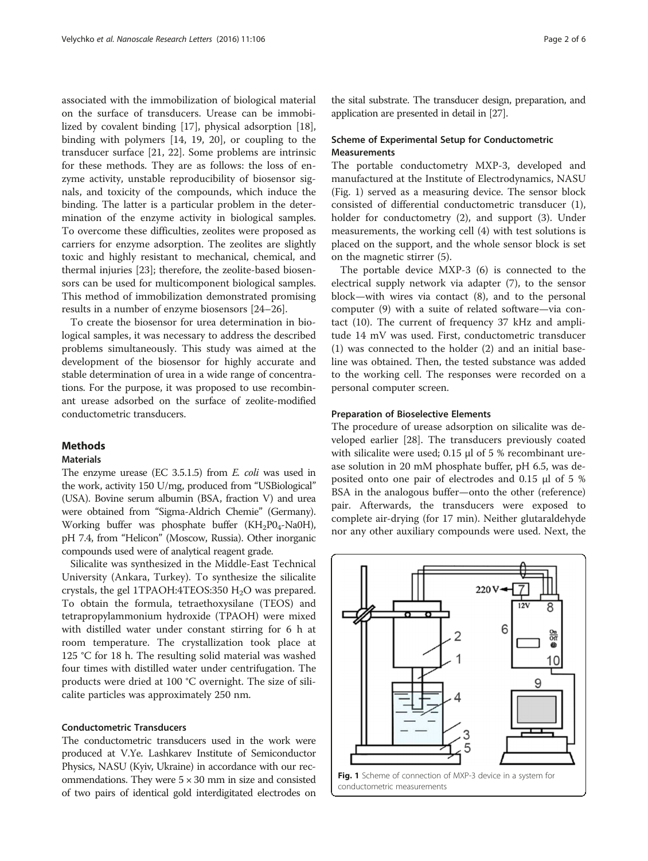associated with the immobilization of biological material on the surface of transducers. Urease can be immobilized by covalent binding [[17\]](#page-5-0), physical adsorption [\[18](#page-5-0)], binding with polymers [\[14](#page-5-0), [19, 20](#page-5-0)], or coupling to the transducer surface [\[21, 22](#page-5-0)]. Some problems are intrinsic for these methods. They are as follows: the loss of enzyme activity, unstable reproducibility of biosensor signals, and toxicity of the compounds, which induce the binding. The latter is a particular problem in the determination of the enzyme activity in biological samples. To overcome these difficulties, zeolites were proposed as carriers for enzyme adsorption. The zeolites are slightly toxic and highly resistant to mechanical, chemical, and thermal injuries [[23\]](#page-5-0); therefore, the zeolite-based biosensors can be used for multicomponent biological samples. This method of immobilization demonstrated promising results in a number of enzyme biosensors [[24](#page-5-0)–[26](#page-5-0)].

To create the biosensor for urea determination in biological samples, it was necessary to address the described problems simultaneously. This study was aimed at the development of the biosensor for highly accurate and stable determination of urea in a wide range of concentrations. For the purpose, it was proposed to use recombinant urease adsorbed on the surface of zeolite-modified conductometric transducers.

# Methods

## **Materials**

The enzyme urease (EC 3.5.1.5) from E. coli was used in the work, activity 150 U/mg, produced from "USBiological" (USA). Bovine serum albumin (BSA, fraction V) and urea were obtained from "Sigma-Aldrich Chemie" (Germany). Working buffer was phosphate buffer  $(KH_2PO_4-NaOH)$ , pH 7.4, from "Helicon" (Moscow, Russia). Other inorganic compounds used were of analytical reagent grade.

Silicalite was synthesized in the Middle-East Technical University (Ankara, Turkey). To synthesize the silicalite crystals, the gel 1TPAOH:4TEOS:350  $H<sub>2</sub>O$  was prepared. To obtain the formula, tetraethoxysilane (TEOS) and tetrapropylammonium hydroxide (TPAOH) were mixed with distilled water under constant stirring for 6 h at room temperature. The crystallization took place at 125 °C for 18 h. The resulting solid material was washed four times with distilled water under centrifugation. The products were dried at 100 °C overnight. The size of silicalite particles was approximately 250 nm.

## Conductometric Transducers

The conductometric transducers used in the work were produced at V.Ye. Lashkarev Institute of Semiconductor Physics, NASU (Kyiv, Ukraine) in accordance with our recommendations. They were  $5 \times 30$  mm in size and consisted of two pairs of identical gold interdigitated electrodes on

the sital substrate. The transducer design, preparation, and application are presented in detail in [[27](#page-5-0)].

## Scheme of Experimental Setup for Conductometric **Measurements**

The portable conductometry МХР-3, developed and manufactured at the Institute of Electrodynamics, NASU (Fig. 1) served as a measuring device. The sensor block consisted of differential conductometric transducer (1), holder for conductometry (2), and support (3). Under measurements, the working cell (4) with test solutions is placed on the support, and the whole sensor block is set on the magnetic stirrer (5).

The portable device MXP-3 (6) is connected to the electrical supply network via adapter (7), to the sensor block—with wires via contact (8), and to the personal computer (9) with a suite of related software—via contact (10). The current of frequency 37 kHz and amplitude 14 mV was used. First, conductometric transducer (1) was connected to the holder (2) and an initial baseline was obtained. Then, the tested substance was added to the working cell. The responses were recorded on a personal computer screen.

## Preparation of Bioselective Elements

The procedure of urease adsorption on silicalite was developed earlier [[28\]](#page-5-0). The transducers previously coated with silicalite were used; 0.15 μl of 5 % recombinant urease solution in 20 mM phosphate buffer, рН 6.5, was deposited onto one pair of electrodes and 0.15 μl of 5 % BSA in the analogous buffer—onto the other (reference) pair. Afterwards, the transducers were exposed to complete air-drying (for 17 min). Neither glutaraldehyde nor any other auxiliary compounds were used. Next, the

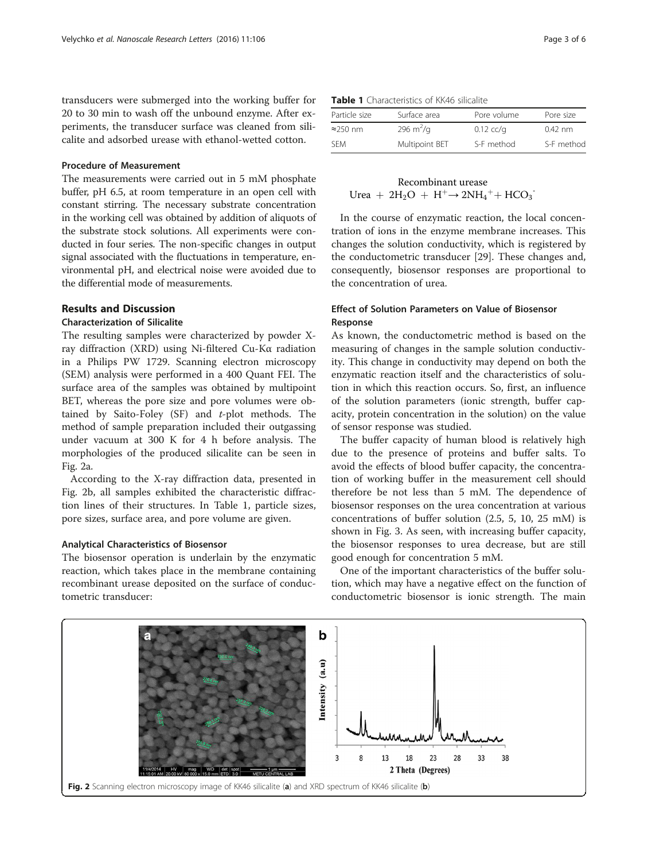transducers were submerged into the working buffer for 20 to 30 min to wash off the unbound enzyme. After experiments, the transducer surface was cleaned from silicalite and adsorbed urease with ethanol-wetted cotton.

## Procedure of Measurement

The measurements were carried out in 5 mM phosphate buffer, pH 6.5, at room temperature in an open cell with constant stirring. The necessary substrate concentration in the working cell was obtained by addition of aliquots of the substrate stock solutions. All experiments were conducted in four series. The non-specific changes in output signal associated with the fluctuations in temperature, environmental pH, and electrical noise were avoided due to the differential mode of measurements.

# Results and Discussion

## Characterization of Silicalite

The resulting samples were characterized by powder Xray diffraction (XRD) using Ni-filtered Cu-Kα radiation in a Philips PW 1729. Scanning electron microscopy (SEM) analysis were performed in a 400 Quant FEI. The surface area of the samples was obtained by multipoint BET, whereas the pore size and pore volumes were obtained by Saito-Foley  $(SF)$  and  $t$ -plot methods. The method of sample preparation included their outgassing under vacuum at 300 K for 4 h before analysis. The morphologies of the produced silicalite can be seen in Fig. 2a.

According to the X-ray diffraction data, presented in Fig. 2b, all samples exhibited the characteristic diffraction lines of their structures. In Table 1, particle sizes, pore sizes, surface area, and pore volume are given.

#### Analytical Characteristics of Biosensor

The biosensor operation is underlain by the enzymatic reaction, which takes place in the membrane containing recombinant urease deposited on the surface of conductometric transducer:

Table 1 Characteristics of KK46 silicalite

| Particle size    | Surface area   | Pore volume | Pore size  |
|------------------|----------------|-------------|------------|
| $\approx$ 250 nm | 296 $m^2/q$    | $0.12$ cc/g | $0.42$ nm  |
| <b>SEM</b>       | Multipoint BET | S-F method  | S-F method |

# Recombinant urease Urea +  $2H_2O + H^+$   $\rightarrow$   $2NH_4$ <sup>+</sup> + HCO<sub>3</sub>

In the course of enzymatic reaction, the local concentration of ions in the enzyme membrane increases. This changes the solution conductivity, which is registered by the conductometric transducer [\[29\]](#page-5-0). These changes and, consequently, biosensor responses are proportional to the concentration of urea.

# Effect of Solution Parameters on Value of Biosensor Response

As known, the conductometric method is based on the measuring of changes in the sample solution conductivity. This change in conductivity may depend on both the enzymatic reaction itself and the characteristics of solution in which this reaction occurs. So, first, an influence of the solution parameters (ionic strength, buffer capacity, protein concentration in the solution) on the value of sensor response was studied.

The buffer capacity of human blood is relatively high due to the presence of proteins and buffer salts. To avoid the effects of blood buffer capacity, the concentration of working buffer in the measurement cell should therefore be not less than 5 mM. The dependence of biosensor responses on the urea concentration at various concentrations of buffer solution (2.5, 5, 10, 25 mM) is shown in Fig. [3](#page-3-0). As seen, with increasing buffer capacity, the biosensor responses to urea decrease, but are still good enough for concentration 5 mM.

One of the important characteristics of the buffer solution, which may have a negative effect on the function of conductometric biosensor is ionic strength. The main

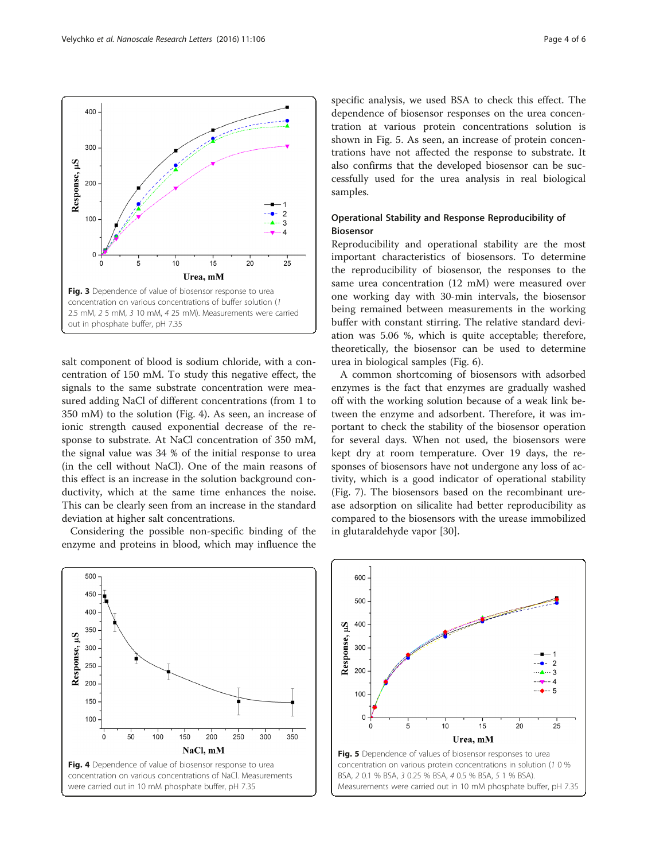salt component of blood is sodium chloride, with a concentration of 150 mM. To study this negative effect, the signals to the same substrate concentration were measured adding NaCl of different concentrations (from 1 to 350 mM) to the solution (Fig. 4). As seen, an increase of ionic strength caused exponential decrease of the response to substrate. At NaCl concentration of 350 mM, the signal value was 34 % of the initial response to urea (in the cell without NaCl). One of the main reasons of this effect is an increase in the solution background conductivity, which at the same time enhances the noise. This can be clearly seen from an increase in the standard deviation at higher salt concentrations.

Considering the possible non-specific binding of the enzyme and proteins in blood, which may influence the specific analysis, we used BSA to check this effect. The dependence of biosensor responses on the urea concentration at various protein concentrations solution is shown in Fig. 5. As seen, an increase of protein concentrations have not affected the response to substrate. It also confirms that the developed biosensor can be successfully used for the urea analysis in real biological samples.

# Operational Stability and Response Reproducibility of Biosensor

Reproducibility and operational stability are the most important characteristics of biosensors. To determine the reproducibility of biosensor, the responses to the same urea concentration (12 mM) were measured over one working day with 30-min intervals, the biosensor being remained between measurements in the working buffer with constant stirring. The relative standard deviation was 5.06 %, which is quite acceptable; therefore, theoretically, the biosensor can be used to determine urea in biological samples (Fig. [6](#page-4-0)).

A common shortcoming of biosensors with adsorbed enzymes is the fact that enzymes are gradually washed off with the working solution because of a weak link between the enzyme and adsorbent. Therefore, it was important to check the stability of the biosensor operation for several days. When not used, the biosensors were kept dry at room temperature. Over 19 days, the responses of biosensors have not undergone any loss of activity, which is a good indicator of operational stability (Fig. [7](#page-4-0)). The biosensors based on the recombinant urease adsorption on silicalite had better reproducibility as compared to the biosensors with the urease immobilized in glutaraldehyde vapor [\[30](#page-5-0)].



600

500

400

300

200

100

 $\mathsf{C}$ 

Response, µS





 $15$ 

Urea, mM

 $20$ 

 $10$ 

5

 $\overline{c}$ 

3  $\overline{4}$ 

 $-5$ 

 $25$ 

<span id="page-3-0"></span>

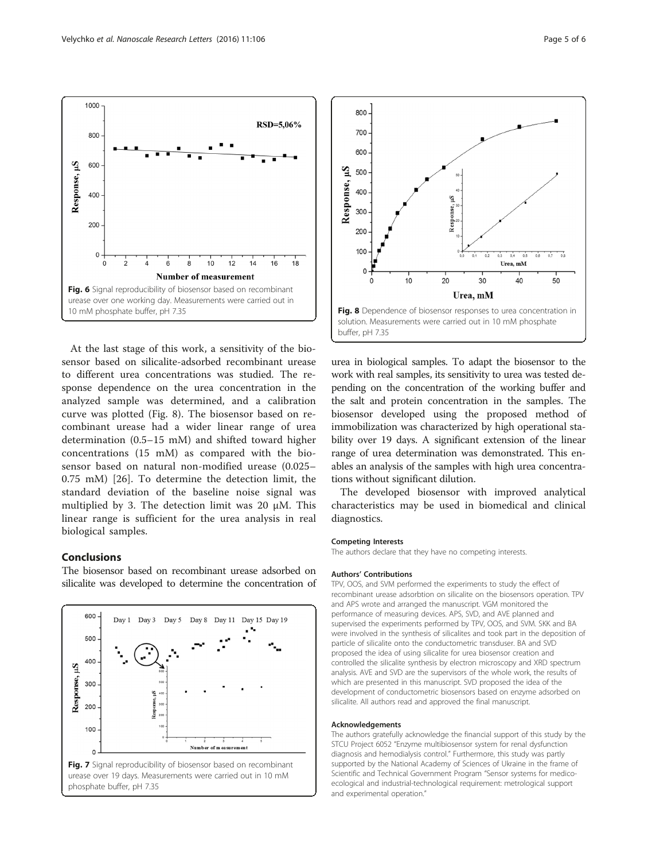At the last stage of this work, a sensitivity of the biosensor based on silicalite-adsorbed recombinant urease to different urea concentrations was studied. The response dependence on the urea concentration in the analyzed sample was determined, and a calibration curve was plotted (Fig. 8). The biosensor based on recombinant urease had a wider linear range of urea determination (0.5–15 mM) and shifted toward higher concentrations (15 mM) as compared with the biosensor based on natural non-modified urease (0.025– 0.75 mM) [[26\]](#page-5-0). To determine the detection limit, the standard deviation of the baseline noise signal was multiplied by 3. The detection limit was 20 μM. This linear range is sufficient for the urea analysis in real biological samples.

Fig. 6 Signal reproducibility of biosensor based on recombinant urease over one working day. Measurements were carried out in

 $10$  $12$  $\overline{14}$  $16$  $18$ 

**Number of measurement** 

6

RSD=5,06%

10 mM phosphate buffer, pH 7.35

<span id="page-4-0"></span>1000

800

600

400

200

 $\overline{0}$ 

 $\Omega$ 

Response, µS

# Conclusions

The biosensor based on recombinant urease adsorbed on silicalite was developed to determine the concentration of





urea in biological samples. To adapt the biosensor to the work with real samples, its sensitivity to urea was tested depending on the concentration of the working buffer and the salt and protein concentration in the samples. The biosensor developed using the proposed method of immobilization was characterized by high operational stability over 19 days. A significant extension of the linear range of urea determination was demonstrated. This enables an analysis of the samples with high urea concentrations without significant dilution.

The developed biosensor with improved analytical characteristics may be used in biomedical and clinical diagnostics.

#### Competing Interests

The authors declare that they have no competing interests.

#### Authors' Contributions

TPV, OOS, and SVM performed the experiments to study the effect of recombinant urease adsorbtion on silicalite on the biosensors operation. TPV and APS wrote and arranged the manuscript. VGM monitored the performance of measuring devices. APS, SVD, and AVE planned and supervised the experiments performed by TPV, OOS, and SVM. SKK and BA were involved in the synthesis of silicalites and took part in the deposition of particle of silicalite onto the conductometric transduser. BA and SVD proposed the idea of using silicalite for urea biosensor creation and controlled the silicalite synthesis by electron microscopy and XRD spectrum analysis. AVE and SVD are the supervisors of the whole work, the results of which are presented in this manuscript. SVD proposed the idea of the development of conductometric biosensors based on enzyme adsorbed on silicalite. All authors read and approved the final manuscript.

#### Acknowledgements

The authors gratefully acknowledge the financial support of this study by the STCU Project 6052 "Enzyme multibiosensor system for renal dysfunction diagnosis and hemodialysis control." Furthermore, this study was partly supported by the National Academy of Sciences of Ukraine in the frame of Scientific and Technical Government Program "Sensor systems for medicoecological and industrial-technological requirement: metrological support and experimental operation."